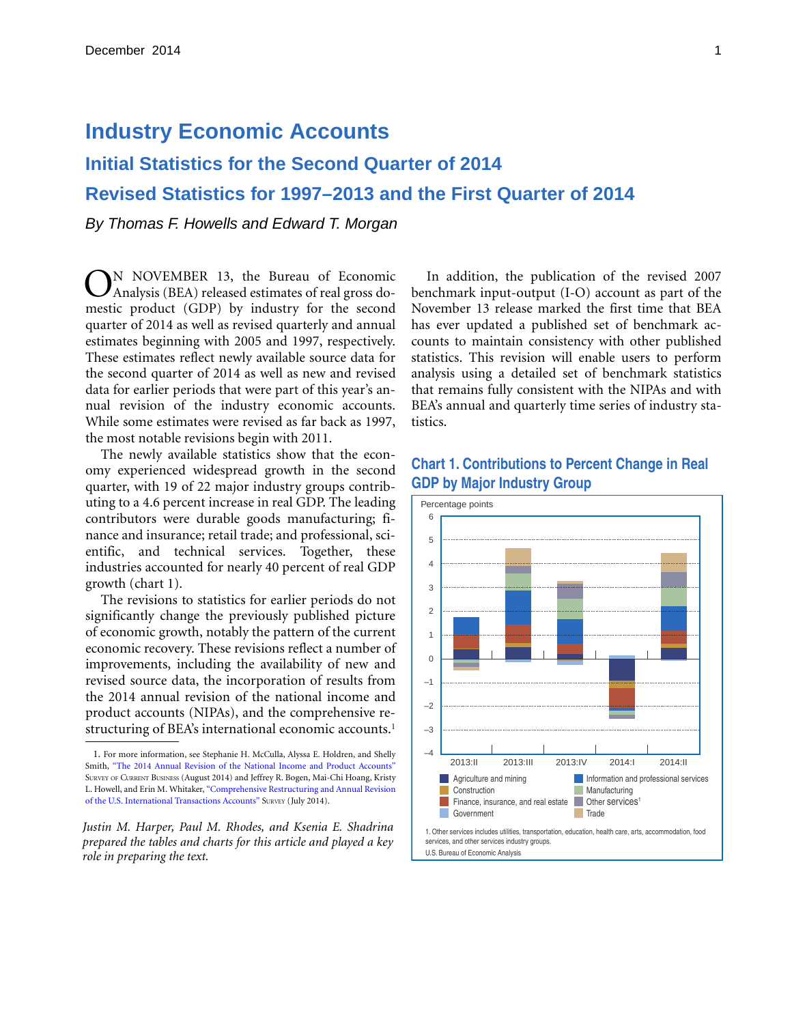# **Industry Economic Accounts**

# **Initial Statistics for the Second Quarter of 2014 Revised Statistics for 1997–2013 and the First Quarter of 2014**

*By Thomas F. Howells and Edward T. Morgan* 

 While some estimates were revised as far back as 1997, N NOVEMBER 13, the Bureau of Economic Analysis (BEA) released estimates of real gross domestic product (GDP) by industry for the second quarter of 2014 as well as revised quarterly and annual estimates beginning with 2005 and 1997, respectively. These estimates reflect newly available source data for the second quarter of 2014 as well as new and revised data for earlier periods that were part of this year's annual revision of the industry economic accounts. the most notable revisions begin with 2011.

 omy experienced widespread growth in the second The newly available statistics show that the econquarter, with 19 of 22 major industry groups contributing to a 4.6 percent increase in real GDP. The leading contributors were durable goods manufacturing; finance and insurance; retail trade; and professional, scientific, and technical services. Together, these industries accounted for nearly 40 percent of real GDP growth (chart 1).

The revisions to statistics for earlier periods do not significantly change the previously published picture of economic growth, notably the pattern of the current economic recovery. These revisions reflect a number of improvements, including the availability of new and revised source data, the incorporation of results from the 2014 annual revision of the national income and product accounts (NIPAs), and the comprehensive restructuring of BEA's international economic accounts.<sup>1</sup>

*Justin M. Harper, Paul M. Rhodes, and Ksenia E. Shadrina prepared the tables and charts for this article and played a key role in preparing the text.* 

 has ever updated a published set of benchmark ac- counts to maintain consistency with other published In addition, the publication of the revised 2007 benchmark input-output (I-O) account as part of the November 13 release marked the first time that BEA statistics. This revision will enable users to perform analysis using a detailed set of benchmark statistics that remains fully consistent with the NIPAs and with BEA's annual and quarterly time series of industry statistics.

## **Chart 1. Contributions to Percent Change in Real GDP by Major Industry Group**



<sup>1.</sup> For more information, see Stephanie H. McCulla, Alyssa E. Holdren, and Shelly Smith, "The 2014 Annual Revision of the National Income and Product Accounts' SURVEY OF CURRENT BUSINESS (August 2014) and Jeffrey R. Bogen, Mai-Chi Hoang, Kristy L. Howell, and Erin M. Whitaker, ["Comprehensive Restructuring and Annual Revision](http://www.bea.gov/scb/pdf/2014/07%20July/0714_annual_international_transactions_accounts.pdf) [of the U.S. International Transactions Accounts" S](http://www.bea.gov/scb/pdf/2014/07%20July/0714_annual_international_transactions_accounts.pdf)URVEY (July 2014).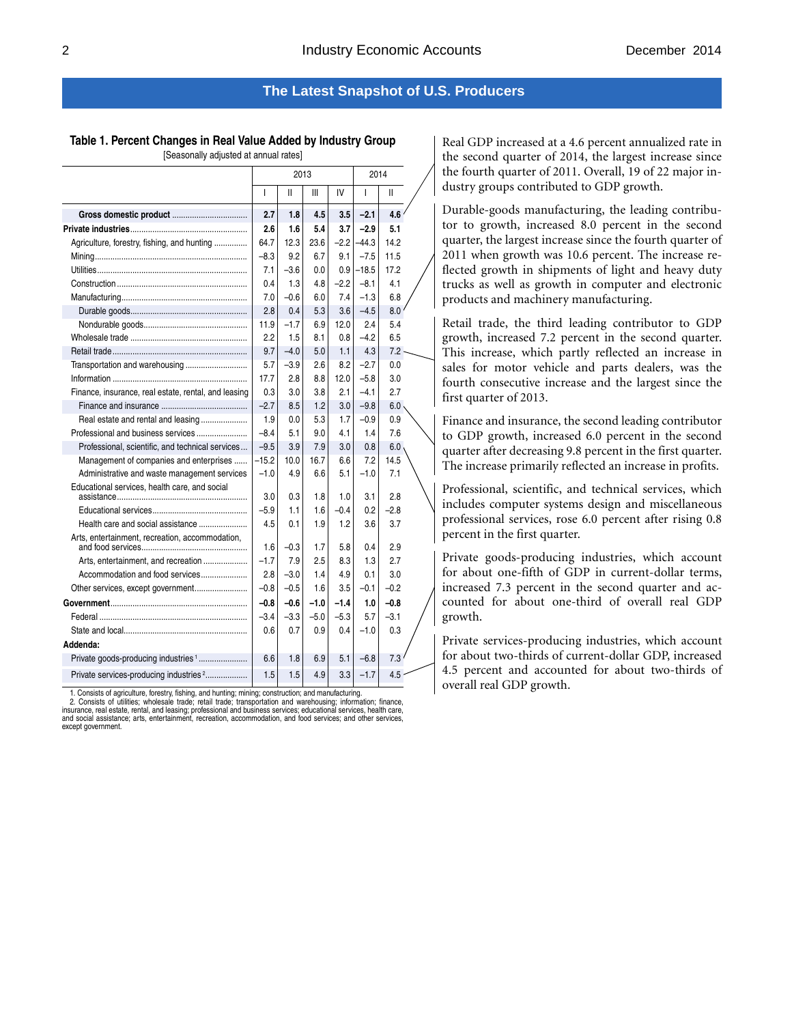#### **The Latest Snapshot of U.S. Producers**

#### **Table 1. Percent Changes in Real Value Added by Industry Group**

| [Seasonally adjusted at annual rates]                |         |        |        |         |              |             |  |
|------------------------------------------------------|---------|--------|--------|---------|--------------|-------------|--|
|                                                      | 2013    |        |        | 2014    |              |             |  |
|                                                      | T       | Ш      | Ш      | IV      | I            | Ш           |  |
|                                                      | 2.7     | 1.8    | 4.5    | $3.5\,$ | $-2.1$       | 4.6         |  |
|                                                      | 2.6     | 1.6    | 5.4    | 3.7     | $-2.9$       | 5.1         |  |
| Agriculture, forestry, fishing, and hunting          | 64.7    | 12.3   | 23.6   | $-2.2$  | $-44.3$      | 14.2        |  |
|                                                      | $-8.3$  | 9.2    | 6.7    | 9.1     | $-7.5$       | 11.5        |  |
|                                                      | 7.1     | $-3.6$ | 0.0    |         | $0.9 - 18.5$ | 17.2        |  |
|                                                      | 0.4     | 1.3    | 4.8    | $-2.2$  | $-8.1$       | 4.1         |  |
|                                                      | 7.0     | $-0.6$ | 6.0    | 7.4     | $-1.3$       | 6.8         |  |
|                                                      | 2.8     | 0.4    | 5.3    | 3.6     | $-4.5$       | 8.0         |  |
|                                                      | 11.9    | $-1.7$ | 6.9    | 12.0    | 2.4          | 5.4         |  |
|                                                      | 2.2     | 1.5    | 8.1    | 0.8     | $-4.2$       | 6.5         |  |
|                                                      | 9.7     | $-4.0$ | 5.0    | 1.1     | 4.3          | $7.2 -$     |  |
| Transportation and warehousing                       | 5.7     | $-3.9$ | 2.6    | 8.2     | $-2.7$       | 0.0         |  |
|                                                      | 17.7    | 2.8    | 8.8    | 12.0    | $-5.8$       | 3.0         |  |
| Finance, insurance, real estate, rental, and leasing | 0.3     | 3.0    | 3.8    | 2.1     | $-4.1$       | 2.7         |  |
|                                                      | $-2.7$  | 8.5    | 1.2    | 3.0     | $-9.8$       | $6.0 \cdot$ |  |
| Real estate and rental and leasing                   | 1.9     | 0.0    | 5.3    | 1.7     | $-0.9$       | 0.9         |  |
| Professional and business services                   | $-8.4$  | 5.1    | 9.0    | 4.1     | 1.4          | 7.6         |  |
| Professional, scientific, and technical services     | $-9.5$  | 3.9    | 7.9    | 3.0     | 0.8          | 6.0         |  |
| Management of companies and enterprises              | $-15.2$ | 10.0   | 16.7   | 6.6     | 7.2          | 14.5        |  |
| Administrative and waste management services         | $-1.0$  | 4.9    | 6.6    | 5.1     | $-1.0$       | 7.1         |  |
| Educational services, health care, and social        | 3.0     | 0.3    | 1.8    | 1.0     | 3.1          | 2.8         |  |
|                                                      | $-5.9$  | 1.1    | 1.6    | $-0.4$  | 0.2          | $-2.8$      |  |
| Health care and social assistance                    | 4.5     | 0.1    | 1.9    | 1.2     | 3.6          | 3.7         |  |
| Arts, entertainment, recreation, accommodation,      |         |        |        |         |              |             |  |
|                                                      | 1.6     | $-0.3$ | 1.7    | 5.8     | 0.4          | 2.9         |  |
| Arts, entertainment, and recreation                  | $-1.7$  | 7.9    | 2.5    | 8.3     | 1.3          | 2.7         |  |
| Accommodation and food services                      | 2.8     | $-3.0$ | 1.4    | 4.9     | 0.1          | 3.0         |  |
| Other services, except government                    | $-0.8$  | $-0.5$ | 1.6    | 3.5     | $-0.1$       | $-0.2$      |  |
|                                                      | $-0.8$  | $-0.6$ | $-1.0$ | $-1.4$  | 1.0          | $-0.8$      |  |
|                                                      | $-3.4$  | $-3.3$ | $-5.0$ | $-5.3$  | 5.7          | $-3.1$      |  |
|                                                      | 0.6     | 0.7    | 0.9    | 0.4     | $-1.0$       | 0.3         |  |
| Addenda:                                             |         |        |        |         |              |             |  |
| Private goods-producing industries <sup>1</sup>      | 6.6     | 1.8    | 6.9    | 5.1     | $-6.8$       | 7.3         |  |
| Private services-producing industries <sup>2</sup>   | 1.5     | 1.5    | 4.9    | 3.3     | $-1.7$       | 4.5         |  |

1. Consists of agriculture, forestry, fishing, and hunting; mining; construction; and manufacturing.

2. Consists of utilities; wholesale trade; retail trade; transportation and warehousing; information; finance,<br>insurance, real estate, rental, and leasing; professional and business services; educational services, health c and social assistance; arts, entertainment, recreation, accommodation, and food services; and other services, except government.

 Real GDP increased at a 4.6 percent annualized rate in the second quarter of 2014, the largest increase since the fourth quarter of 2011. Overall, 19 of 22 major industry groups contributed to GDP growth.

Durable-goods manufacturing, the leading contributor to growth, increased 8.0 percent in the second quarter, the largest increase since the fourth quarter of 2011 when growth was 10.6 percent. The increase reflected growth in shipments of light and heavy duty trucks as well as growth in computer and electronic products and machinery manufacturing.

 growth, increased 7.2 percent in the second quarter. Retail trade, the third leading contributor to GDP This increase, which partly reflected an increase in sales for motor vehicle and parts dealers, was the fourth consecutive increase and the largest since the first quarter of 2013.

Finance and insurance, the second leading contributor to GDP growth, increased 6.0 percent in the second quarter after decreasing 9.8 percent in the first quarter. The increase primarily reflected an increase in profits.

Professional, scientific, and technical services, which includes computer systems design and miscellaneous professional services, rose 6.0 percent after rising 0.8 percent in the first quarter.

Private goods-producing industries, which account for about one-fifth of GDP in current-dollar terms, increased 7.3 percent in the second quarter and accounted for about one-third of overall real GDP growth.

Private services-producing industries, which account for about two-thirds of current-dollar GDP, increased 4.5 percent and accounted for about two-thirds of overall real GDP growth.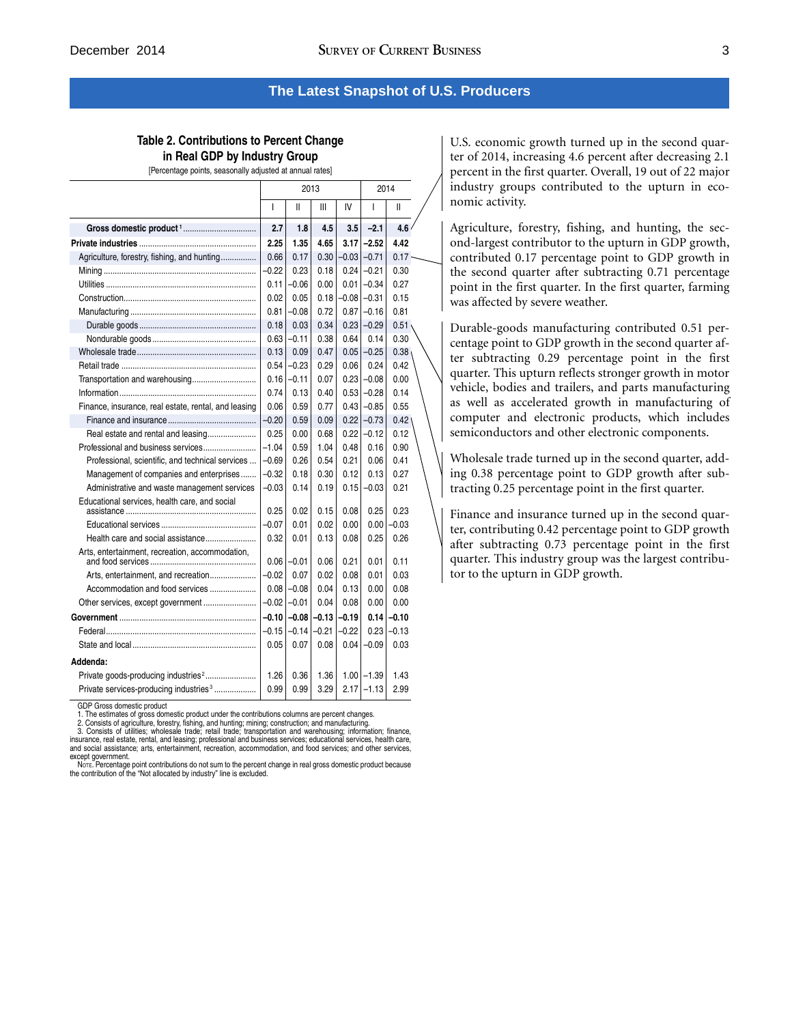#### **The Latest Snapshot of U.S. Producers**

### **Table 2. Contributions to Percent Change in Real GDP by Industry Group**

[Percentage points, seasonally adjusted at annual rates]

|                                                      | 2013    |         |         | 2014    |                |         |  |
|------------------------------------------------------|---------|---------|---------|---------|----------------|---------|--|
|                                                      | I       | Ш       | Ш       | IV      | ı              | Ш       |  |
|                                                      | 2.7     | 1.8     | 4.5     | 3.5     | $-2.1$         | 4.6     |  |
|                                                      | 2.25    | 1.35    | 4.65    | 3.17    | $-2.52$        | 4.42    |  |
| Agriculture, forestry, fishing, and hunting          | 0.66    | 0.17    | 0.30    | $-0.03$ | $-0.71$        | 0.17    |  |
|                                                      | $-0.22$ | 0.23    | 0.18    | 0.24    | $-0.21$        | 0.30    |  |
|                                                      | 0.11    | $-0.06$ | 0.00    | 0.01    | $-0.34$        | 0.27    |  |
|                                                      | 0.02    | 0.05    | 0.18    | $-0.08$ | $-0.31$        | 0.15    |  |
|                                                      | 0.81    | $-0.08$ | 0.72    | 0.87    | $-0.16$        | 0.81    |  |
|                                                      | 0.18    | 0.03    | 0.34    | 0.23    | $-0.29$        | 0.51    |  |
|                                                      | 0.63    | $-0.11$ | 0.38    | 0.64    | 0.14           | 0.30    |  |
|                                                      | 0.13    | 0.09    | 0.47    | 0.05    | $-0.25$        | 0.38    |  |
|                                                      | 0.54    | $-0.23$ | 0.29    | 0.06    | 0.24           | 0.42    |  |
| Transportation and warehousing                       | 0.16    | $-0.11$ | 0.07    | 0.23    | $-0.08$        | 0.00    |  |
|                                                      | 0.74    | 0.13    | 0.40    | 0.53    | $-0.28$        | 0.14    |  |
| Finance, insurance, real estate, rental, and leasing | 0.06    | 0.59    | 0.77    | 0.43    | $-0.85$        | 0.55    |  |
|                                                      | $-0.20$ | 0.59    | 0.09    | 0.22    | $-0.73$        | 0.42    |  |
| Real estate and rental and leasing                   | 0.25    | 0.00    | 0.68    | 0.22    | $-0.12$        | 0.12    |  |
|                                                      | $-1.04$ | 0.59    | 1.04    | 0.48    | 0.16           | 0.90    |  |
| Professional, scientific, and technical services     | $-0.69$ | 0.26    | 0.54    | 0.21    | 0.06           | 0.41    |  |
| Management of companies and enterprises              | $-0.32$ | 0.18    | 0.30    | 0.12    | 0.13           | 0.27    |  |
| Administrative and waste management services         | $-0.03$ | 0.14    | 0.19    | 0.15    | $-0.03$        | 0.21    |  |
| Educational services, health care, and social        | 0.25    | 0.02    | 0.15    | 0.08    | 0.25           | 0.23    |  |
|                                                      | $-0.07$ | 0.01    | 0.02    | 0.00    | 0.00           | $-0.03$ |  |
| Health care and social assistance                    | 0.32    | 0.01    | 0.13    | 0.08    | 0.25           | 0.26    |  |
| Arts, entertainment, recreation, accommodation,      | 0.06    | $-0.01$ | 0.06    | 0.21    | 0.01           | 0.11    |  |
| Arts, entertainment, and recreation                  | $-0.02$ | 0.07    | 0.02    | 0.08    | 0.01           | 0.03    |  |
| Accommodation and food services                      | 0.08    | $-0.08$ | 0.04    | 0.13    | 0.00           | 0.08    |  |
|                                                      | $-0.02$ | $-0.01$ | 0.04    | 0.08    | 0.00           | 0.00    |  |
|                                                      | $-0.10$ | $-0.08$ | $-0.13$ | $-0.19$ | 0.14           | $-0.10$ |  |
|                                                      | $-0.15$ | $-0.14$ | $-0.21$ | $-0.22$ | 0.23           | $-0.13$ |  |
|                                                      | 0.05    | 0.07    | 0.08    | 0.04    | $-0.09$        | 0.03    |  |
| Addenda:                                             |         |         |         |         |                |         |  |
|                                                      | 1.26    | 0.36    | 1.36    |         | $1.00$ $-1.39$ | 1.43    |  |
| Private services-producing industries <sup>3</sup>   | 0.99    | 0.99    | 3.29    | 2.17    | $-1.13$        | 2.99    |  |
|                                                      |         |         |         |         |                |         |  |

GDP Gross domestic product

The estimates of gross domestic product under the contributions column<br>Consists of agriculture, forestry, fishing, and hunting; mining; constructic<br>Consists of utilities; wholesale trade; retail trade; transportation and

1. The estimates of gross domestic product under the contributions columns are percent changes.<br>2. Consists of agriculture, forestry, fishing, and hunting; mining; construction; and manufacturing.<br>3. Consists of utilities;

insurance, real estate, rental, and leasing; professional and business services; educational services, health care, and social assistance; arts, entertainment, recreation, accommodation, and food services; and other services, except government.

U.S. economic growth turned up in the second quarter of 2014, increasing 4.6 percent after decreasing 2.1 percent in the first quarter. Overall, 19 out of 22 major industry groups contributed to the upturn in economic activity.

 contributed 0.17 percentage point to GDP growth in Agriculture, forestry, fishing, and hunting, the second-largest contributor to the upturn in GDP growth, the second quarter after subtracting 0.71 percentage point in the first quarter. In the first quarter, farming was affected by severe weather.

 quarter. This upturn reflects stronger growth in motor Durable-goods manufacturing contributed 0.51 percentage point to GDP growth in the second quarter after subtracting 0.29 percentage point in the first vehicle, bodies and trailers, and parts manufacturing as well as accelerated growth in manufacturing of computer and electronic products, which includes semiconductors and other electronic components.

Wholesale trade turned up in the second quarter, adding 0.38 percentage point to GDP growth after subtracting 0.25 percentage point in the first quarter.

Finance and insurance turned up in the second quarter, contributing 0.42 percentage point to GDP growth after subtracting 0.73 percentage point in the first quarter. This industry group was the largest contributor to the upturn in GDP growth.

 NOTE. Percentage point contributions do not sum to the percent change in real gross domestic product because the contribution of the "Not allocated by industry" line is excluded.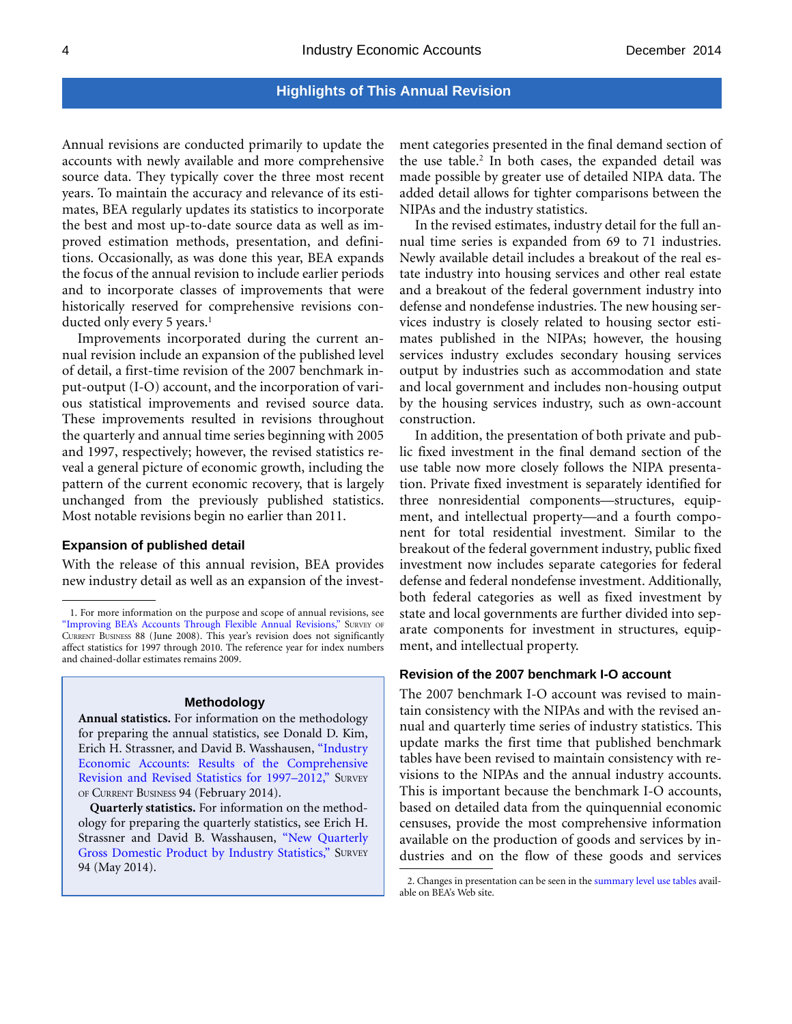#### **Highlights of This Annual Revision**

Annual revisions are conducted primarily to update the accounts with newly available and more comprehensive source data. They typically cover the three most recent years. To maintain the accuracy and relevance of its estimates, BEA regularly updates its statistics to incorporate the best and most up-to-date source data as well as improved estimation methods, presentation, and definitions. Occasionally, as was done this year, BEA expands the focus of the annual revision to include earlier periods and to incorporate classes of improvements that were historically reserved for comprehensive revisions conducted only every 5 years.<sup>1</sup>

 of detail, a first-time revision of the 2007 benchmark in-Improvements incorporated during the current annual revision include an expansion of the published level put-output (I-O) account, and the incorporation of various statistical improvements and revised source data. These improvements resulted in revisions throughout the quarterly and annual time series beginning with 2005 and 1997, respectively; however, the revised statistics reveal a general picture of economic growth, including the pattern of the current economic recovery, that is largely unchanged from the previously published statistics. Most notable revisions begin no earlier than 2011.

#### **Expansion of published detail**

With the release of this annual revision, BEA provides new industry detail as well as an expansion of the invest-

#### **Methodology**

**Annual statistics.** For information on the methodology for preparing the annual statistics, see Donald D. Kim, Erich H. Strassner, and David B. Wasshausen, ["Industry](http://www.bea.gov/scb/pdf/2014/02%20February/0214_industry%20economic%20accounts.pdf)  [Economic Accounts: Results of the Comprehensive](http://www.bea.gov/scb/pdf/2014/02%20February/0214_industry%20economic%20accounts.pdf)  [Revision and Revised Statistics for 1997–2012,"](http://www.bea.gov/scb/pdf/2014/02%20February/0214_industry%20economic%20accounts.pdf) SURVEY OF CURRENT BUSINESS 94 (February 2014).

**Quarterly statistics.** For information on the methodology for preparing the quarterly statistics, see Erich H. Strassner and David B. Wasshausen, ["New Quarterly](http://www.bea.gov/scb/pdf/2014/05%20May/0514_gdp-by-industry.pdf)  [Gross Domestic Product by Industry Statistics,"](http://www.bea.gov/scb/pdf/2014/05%20May/0514_gdp-by-industry.pdf) SURVEY 94 (May 2014).

ment categories presented in the final demand section of the use table.<sup>2</sup> In both cases, the expanded detail was made possible by greater use of detailed NIPA data. The added detail allows for tighter comparisons between the NIPAs and the industry statistics.

 by the housing services industry, such as own-account In the revised estimates, industry detail for the full annual time series is expanded from 69 to 71 industries. Newly available detail includes a breakout of the real estate industry into housing services and other real estate and a breakout of the federal government industry into defense and nondefense industries. The new housing services industry is closely related to housing sector estimates published in the NIPAs; however, the housing services industry excludes secondary housing services output by industries such as accommodation and state and local government and includes non-housing output construction.

 lic fixed investment in the final demand section of the In addition, the presentation of both private and pubuse table now more closely follows the NIPA presentation. Private fixed investment is separately identified for three nonresidential components—structures, equipment, and intellectual property—and a fourth component for total residential investment. Similar to the breakout of the federal government industry, public fixed investment now includes separate categories for federal defense and federal nondefense investment. Additionally, both federal categories as well as fixed investment by state and local governments are further divided into separate components for investment in structures, equipment, and intellectual property.

#### **Revision of the 2007 benchmark I-O account**

 The 2007 benchmark I-O account was revised to main- tables have been revised to maintain consistency with retain consistency with the NIPAs and with the revised annual and quarterly time series of industry statistics. This update marks the first time that published benchmark visions to the NIPAs and the annual industry accounts. This is important because the benchmark I-O accounts, based on detailed data from the quinquennial economic censuses, provide the most comprehensive information available on the production of goods and services by industries and on the flow of these goods and services

 CURRENT BUSINESS 88 (June 2008). This year's revision does not significantly 1. For more information on the purpose and scope of annual revisions, see ["Improving BEA's Accounts Through](http://www.bea.gov/scb/pdf/2008/06%20June/0608_flexible.pdf) Flexible Annual Revisions," SURVEY OF affect statistics for 1997 through 2010. The reference year for index numbers and chained-dollar estimates remains 2009.

<sup>2.</sup> Changes in presentation can be seen in the [summary level use tables a](http://www.bea.gov/iTable/itable.cfm?reqid=52&step=1#reqid=52&step=102&isuri=1&5206=4&5205=sum)vailable on BEA's Web site.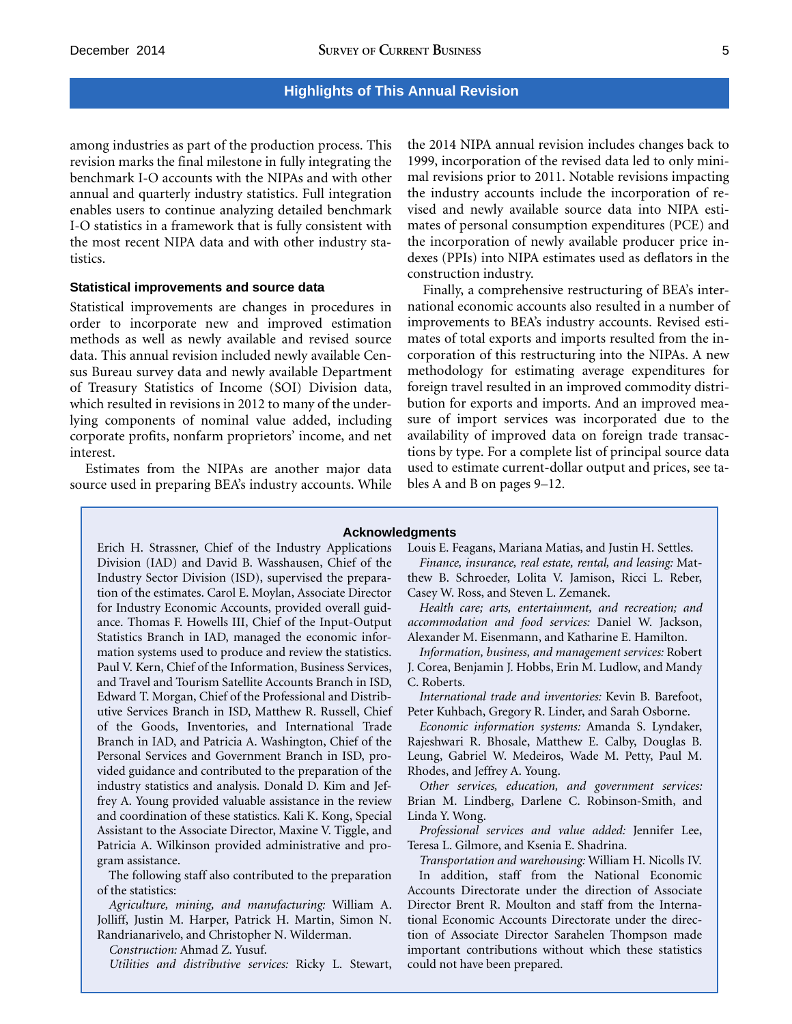among industries as part of the production process. This revision marks the final milestone in fully integrating the benchmark I-O accounts with the NIPAs and with other annual and quarterly industry statistics. Full integration enables users to continue analyzing detailed benchmark I-O statistics in a framework that is fully consistent with the most recent NIPA data and with other industry statistics.

#### **Statistical improvements and source data**

Statistical improvements are changes in procedures in order to incorporate new and improved estimation methods as well as newly available and revised source data. This annual revision included newly available Census Bureau survey data and newly available Department of Treasury Statistics of Income (SOI) Division data, which resulted in revisions in 2012 to many of the underlying components of nominal value added, including corporate profits, nonfarm proprietors' income, and net interest.

Estimates from the NIPAs are another major data source used in preparing BEA's industry accounts. While

 dexes (PPIs) into NIPA estimates used as deflators in the the 2014 NIPA annual revision includes changes back to 1999, incorporation of the revised data led to only minimal revisions prior to 2011. Notable revisions impacting the industry accounts include the incorporation of revised and newly available source data into NIPA estimates of personal consumption expenditures (PCE) and the incorporation of newly available producer price inconstruction industry.

 foreign travel resulted in an improved commodity distri- tions by type. For a complete list of principal source data Finally, a comprehensive restructuring of BEA's international economic accounts also resulted in a number of improvements to BEA's industry accounts. Revised estimates of total exports and imports resulted from the incorporation of this restructuring into the NIPAs. A new methodology for estimating average expenditures for bution for exports and imports. And an improved measure of import services was incorporated due to the availability of improved data on foreign trade transacused to estimate current-dollar output and prices, see tables A and B on pages 9–12.

#### **Acknowledgments**

 and Travel and Tourism Satellite Accounts Branch in ISD, C. Roberts. Edward T. Morgan, Chief of the Professional and Distrib- utive Services Branch in ISD, Matthew R. Russell, Chief Peter Kuhbach, Gregory R. Linder, and Sarah Osborne. Division (IAD) and David B. Wasshausen, Chief of the tion of the estimates. Carol E. Moylan, Associate Director Casey W. Ross, and Steven L. Zemanek. for Industry Economic Accounts, provided overall guid- *Health care; arts, entertainment, and recreation; and* Statistics Branch in IAD, managed the economic infor- Alexander M. Eisenmann, and Katharine E. Hamilton. mation systems used to produce and review the statistics. of the Goods, Inventories, and International Trade *Economic information systems:* Amanda S. Lyndaker, Branch in IAD, and Patricia A. Washington, Chief of the Personal Services and Government Branch in ISD, pro- Leung, Gabriel W. Medeiros, Wade M. Petty, Paul M. vided guidance and contributed to the preparation of the Rhodes, and Jeffrey A. Young. industry statistics and analysis. Donald D. Kim and Jef- *Other services, education, and government services:* and coordination of these statistics. Kali K. Kong, Special Linda Y. Wong.<br>Assistant to the Associate Director, Maxine V. Tiggle, and Professional services and value added: Jennifer Lee, Assistant to the Associate Director, Maxine V. Tiggle, and Patricia A. Wilkinson provided administrative and pro- Teresa L. Gilmore, and Ksenia E. Shadrina. gram assistance. *Transportation and warehousing:* William H. Nicolls IV.

*Utilities and distributive services:* Ricky L. Stewart, could not have been prepared.

Erich H. Strassner, Chief of the Industry Applications Louis E. Feagans, Mariana Matias, and Justin H. Settles.

and leasing: Mat-Industry Sector Division (ISD), supervised the prepara- thew B. Schroeder, Lolita V. Jamison, Ricci L. Reber,

ance. Thomas F. Howells III, Chief of the Input-Output *accommodation and food services:* Daniel W. Jackson,

*services:* Robert Paul V. Kern, Chief of the Information, Business Services, J. Corea, Benjamin J. Hobbs, Erin M. Ludlow, and Mandy

International trade and inventories: Kevin B. Barefoot, Peter Kuhbach, Gregory R. Linder, and Sarah Osborne.

Rajeshwari R. Bhosale, Matthew E. Calby, Douglas B.

frey A. Young provided valuable assistance in the review Brian M. Lindberg, Darlene C. Robinson-Smith, and

 of the statistics: Accounts Directorate under the direction of Associate The following staff also contributed to the preparation In addition, staff from the National Economic *Agriculture, mining, and manufacturing:* William A. Director Brent R. Moulton and staff from the Interna-Jolliff, Justin M. Harper, Patrick H. Martin, Simon N. tional Economic Accounts Directorate under the direc-Randrianarivelo, and Christopher N. Wilderman. tion of Associate Director Sarahelen Thompson made *Construction:* Ahmad Z. Yusuf. important contributions without which these statistics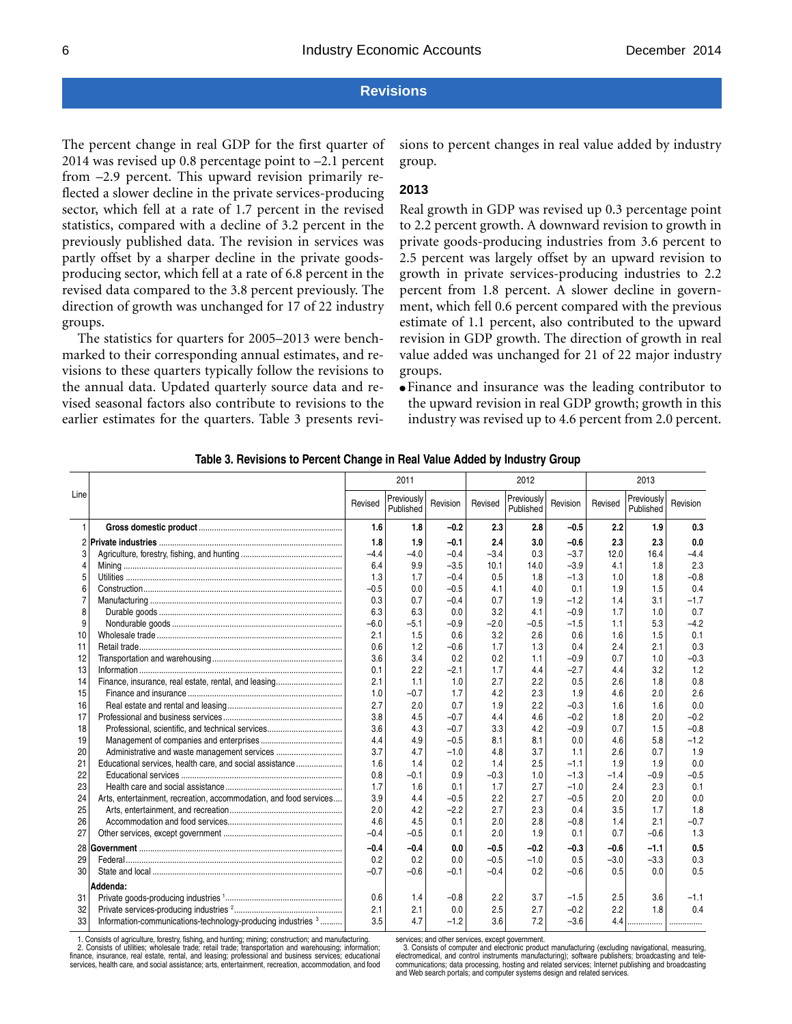#### **Revisions**

 partly offset by a sharper decline in the private goods-The percent change in real GDP for the first quarter of 2014 was revised up 0.8 percentage point to –2.1 percent from –2.9 percent. This upward revision primarily reflected a slower decline in the private services-producing sector, which fell at a rate of 1.7 percent in the revised statistics, compared with a decline of 3.2 percent in the previously published data. The revision in services was producing sector, which fell at a rate of 6.8 percent in the revised data compared to the 3.8 percent previously. The direction of growth was unchanged for 17 of 22 industry groups.

The statistics for quarters for 2005–2013 were benchmarked to their corresponding annual estimates, and revisions to these quarters typically follow the revisions to the annual data. Updated quarterly source data and revised seasonal factors also contribute to revisions to the earlier estimates for the quarters. Table 3 presents revi-

 sions to percent changes in real value added by industry group.

#### **2013**

Real growth in GDP was revised up 0.3 percentage point to 2.2 percent growth. A downward revision to growth in private goods-producing industries from 3.6 percent to 2.5 percent was largely offset by an upward revision to growth in private services-producing industries to 2.2 percent from 1.8 percent. A slower decline in government, which fell 0.6 percent compared with the previous estimate of 1.1 percent, also contributed to the upward revision in GDP growth. The direction of growth in real value added was unchanged for 21 of 22 major industry groups.

 industry was revised up to 4.6 percent from 2.0 percent. ● Finance and insurance was the leading contributor to the upward revision in real GDP growth; growth in this

|      |                                                                   | 2011    |                         | 2012     |         |                         | 2013     |         |                         |          |
|------|-------------------------------------------------------------------|---------|-------------------------|----------|---------|-------------------------|----------|---------|-------------------------|----------|
| Line |                                                                   | Revised | Previously<br>Published | Revision | Revised | Previously<br>Published | Revision | Revised | Previously<br>Published | Revision |
|      |                                                                   | 1.6     | 1.8                     | $-0.2$   | 2.3     | 2.8                     | $-0.5$   | 2.2     | 1.9                     | 0.3      |
|      |                                                                   | 1.8     | 1.9                     | $-0.1$   | 2.4     | 3.0                     | $-0.6$   | 2.3     | 2.3                     | 0.0      |
| 3    |                                                                   | $-4.4$  | $-4.0$                  | $-0.4$   | $-3.4$  | 0.3                     | $-3.7$   | 12.0    | 16.4                    | $-4.4$   |
|      |                                                                   | 6.4     | 9.9                     | $-3.5$   | 10.1    | 14.0                    | $-3.9$   | 4.1     | 1.8                     | 2.3      |
| 5    |                                                                   | 1.3     | 1.7                     | $-0.4$   | 0.5     | 1.8                     | $-1.3$   | 1.0     | 1.8                     | $-0.8$   |
| 6    |                                                                   | $-0.5$  | 0.0                     | $-0.5$   | 4.1     | 4.0                     | 0.1      | 1.9     | 1.5                     | 0.4      |
|      |                                                                   | 0.3     | 0.7                     | $-0.4$   | 0.7     | 1.9                     | $-1.2$   | 1.4     | 3.1                     | $-1.7$   |
| 8    |                                                                   | 6.3     | 6.3                     | 0.0      | 3.2     | 4.1                     | $-0.9$   | 1.7     | 1.0                     | 0.7      |
| 9    |                                                                   | $-6.0$  | $-5.1$                  | $-0.9$   | $-2.0$  | $-0.5$                  | $-1.5$   | 1.1     | 5.3                     | $-4.2$   |
| 10   |                                                                   | 2.1     | 1.5                     | 0.6      | 3.2     | 2.6                     | 0.6      | 1.6     | 1.5                     | 0.1      |
| 11   |                                                                   | 0.6     | 1.2                     | $-0.6$   | 1.7     | 1.3                     | 0.4      | 2.4     | 2.1                     | 0.3      |
| 12   |                                                                   | 3.6     | 3.4                     | 0.2      | 0.2     | 1.1                     | $-0.9$   | 0.7     | 1.0                     | $-0.3$   |
| 13   |                                                                   | 0.1     | 2.2                     | $-2.1$   | 1.7     | 4.4                     | $-2.7$   | 4.4     | 3.2                     | 1.2      |
| 14   | Finance, insurance, real estate, rental, and leasing              | 2.1     | 1.1                     | 1.0      | 2.7     | 2.2                     | 0.5      | 2.6     | 1.8                     | 0.8      |
| 15   |                                                                   | 1.0     | $-0.7$                  | 1.7      | 4.2     | 2.3                     | 1.9      | 4.6     | 2.0                     | 2.6      |
| 16   |                                                                   | 2.7     | 2.0                     | 0.7      | 1.9     | 2.2                     | $-0.3$   | 1.6     | 1.6                     | 0.0      |
| 17   |                                                                   | 3.8     | 4.5                     | $-0.7$   | 4.4     | 4.6                     | $-0.2$   | 1.8     | 2.0                     | $-0.2$   |
| 18   | Professional, scientific, and technical services                  | 3.6     | 4.3                     | $-0.7$   | 3.3     | 4.2                     | $-0.9$   | 0.7     | 1.5                     | $-0.8$   |
| 19   |                                                                   | 4.4     | 4.9                     | $-0.5$   | 8.1     | 8.1                     | 0.0      | 4.6     | 5.8                     | $-1.2$   |
| 20   |                                                                   | 3.7     | 4.7                     | $-1.0$   | 4.8     | 3.7                     | 1.1      | 2.6     | 0.7                     | 1.9      |
| 21   | Educational services, health care, and social assistance          | 1.6     | 1.4                     | 0.2      | 1.4     | 2.5                     | $-1.1$   | 1.9     | 1.9                     | 0.0      |
| 22   |                                                                   | 0.8     | $-0.1$                  | 0.9      | $-0.3$  | 1.0                     | $-1.3$   | $-1.4$  | $-0.9$                  | $-0.5$   |
| 23   |                                                                   | 1.7     | 1.6                     | 0.1      | 1.7     | 2.7                     | $-1.0$   | 2.4     | 2.3                     | 0.1      |
| 24   | Arts, entertainment, recreation, accommodation, and food services | 3.9     | 4.4                     | $-0.5$   | 2.2     | 2.7                     | $-0.5$   | 2.0     | 2.0                     | 0.0      |
| 25   |                                                                   | 2.0     | 4.2                     | $-2.2$   | 2.7     | 2.3                     | 0.4      | 3.5     | 1.7                     | 1.8      |
| 26   |                                                                   | 4.6     | 4.5                     | 0.1      | 2.0     | 2.8                     | $-0.8$   | 1.4     | 2.1                     | $-0.7$   |
| 27   |                                                                   | $-0.4$  | $-0.5$                  | 0.1      | 2.0     | 1.9                     | 0.1      | 0.7     | $-0.6$                  | 1.3      |
| 28   |                                                                   | $-0.4$  | -0.4                    | 0.0      | $-0.5$  | $-0.2$                  | $-0.3$   | $-0.6$  | $-1.1$                  | 0.5      |
| 29   |                                                                   | 0.2     | 0.2                     | 0.0      | $-0.5$  | $-1.0$                  | 0.5      | $-3.0$  | $-3.3$                  | 0.3      |
| 30   |                                                                   | $-0.7$  | $-0.6$                  | $-0.1$   | $-0.4$  | 0.2                     | $-0.6$   | 0.5     | 0.0                     | 0.5      |
|      | Addenda:                                                          |         |                         |          |         |                         |          |         |                         |          |
| 31   |                                                                   | 0.6     | 1.4                     | $-0.8$   | 2.2     | 3.7                     | $-1.5$   | 2.5     | 3.6                     | $-1.1$   |
| 32   |                                                                   | 2.1     | 2.1                     | 0.0      | 2.5     | 2.7                     | $-0.2$   | 2.2     | 1.8                     | 0.4      |
| 33   | Information-communications-technology-producing industries 3      | 3.5     | 4.7                     | $-1.2$   | 3.6     | 7.2                     | $-3.6$   | 4.4     |                         |          |
|      |                                                                   |         |                         |          |         |                         |          |         | .                       |          |

**Table 3. Revisions to Percent Change in Real Value Added by Industry Group** 

 1. Consists of agriculture, forestry, fishing, and hunting; mining; construction; and manufacturing. services; and other services, except government. finance, insurance, real estate, rental, and leasing; professional and business services; educational energy instruments manufacturing); software publishers; broadcasting and tele-traing and tele-traing and tele-traing and

3. Consists of computer and electronic product manufacturing (excluding navigational, measuring, electromedical, and control instruments manufacturing); software publishers; broadcasting and teleservices, health care, and social assistance; arts, entertainment, recreation, accommodation, and food communications; data processing, hosting and related services; Internet publishing and broadcasting<br>and Web search port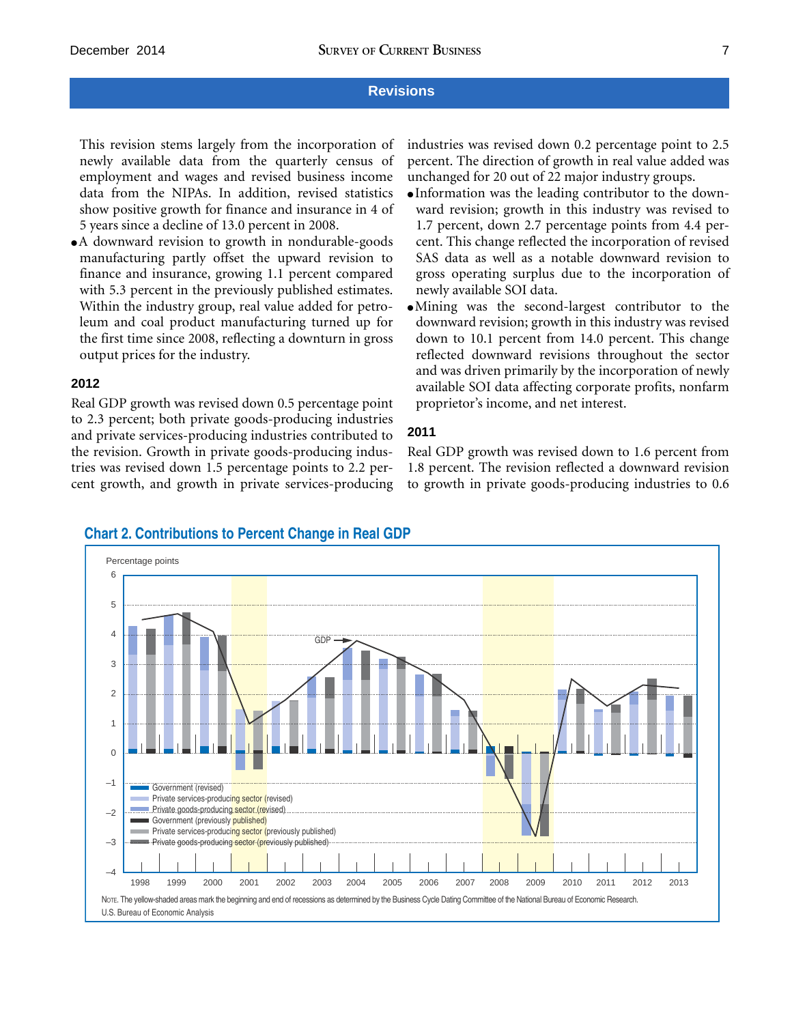#### **Revisions**

This revision stems largely from the incorporation of newly available data from the quarterly census of employment and wages and revised business income data from the NIPAs. In addition, revised statistics show positive growth for finance and insurance in 4 of 5 years since a decline of 13.0 percent in 2008.

 ● A downward revision to growth in nondurable-goods manufacturing partly offset the upward revision to finance and insurance, growing 1.1 percent compared with 5.3 percent in the previously published estimates. Within the industry group, real value added for petroleum and coal product manufacturing turned up for the first time since 2008, reflecting a downturn in gross output prices for the industry.

#### **2012**

 Real GDP growth was revised down 0.5 percentage point to 2.3 percent; both private goods-producing industries and private services-producing industries contributed to the revision. Growth in private goods-producing industries was revised down 1.5 percentage points to 2.2 percent growth, and growth in private services-producing

industries was revised down 0.2 percentage point to 2.5 percent. The direction of growth in real value added was unchanged for 20 out of 22 major industry groups.

- Information was the leading contributor to the downward revision; growth in this industry was revised to 1.7 percent, down 2.7 percentage points from 4.4 percent. This change reflected the incorporation of revised SAS data as well as a notable downward revision to gross operating surplus due to the incorporation of newly available SOI data.
- ●Mining was the second-largest contributor to the downward revision; growth in this industry was revised down to 10.1 percent from 14.0 percent. This change reflected downward revisions throughout the sector and was driven primarily by the incorporation of newly available SOI data affecting corporate profits, nonfarm proprietor's income, and net interest.

#### **2011**

Real GDP growth was revised down to 1.6 percent from 1.8 percent. The revision reflected a downward revision to growth in private goods-producing industries to 0.6

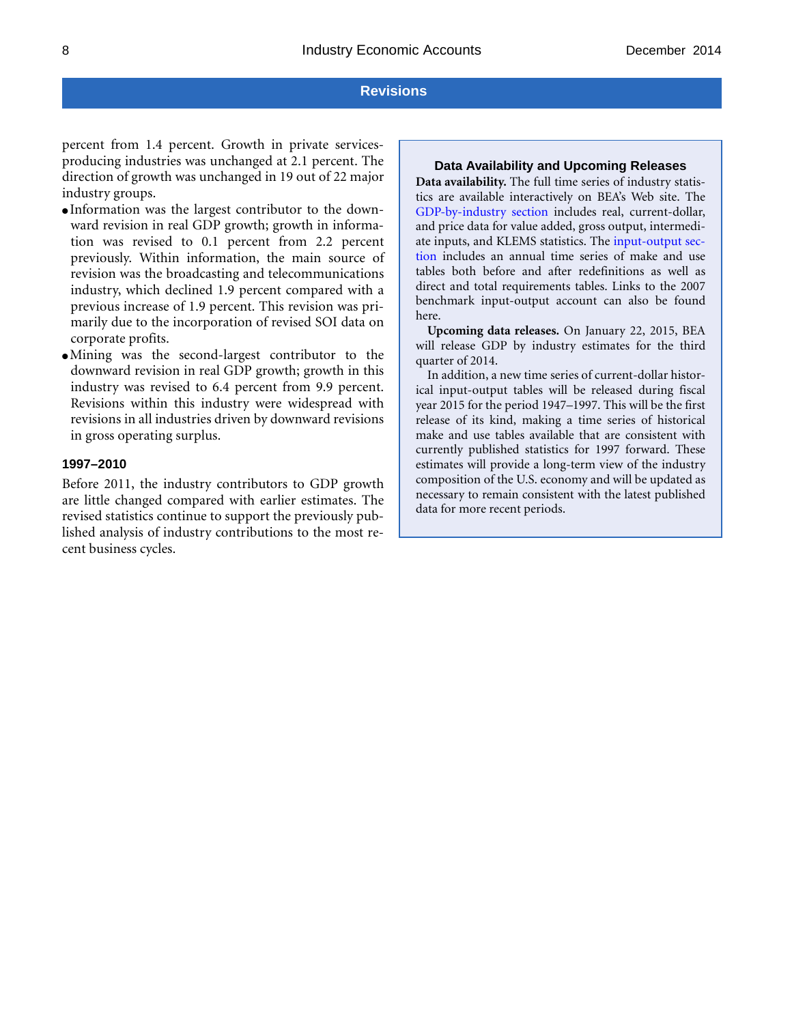#### **Revisions**

percent from 1.4 percent. Growth in private servicesproducing industries was unchanged at 2.1 percent. The direction of growth was unchanged in 19 out of 22 major industry groups.

 ward revision in real GDP growth; growth in informa- industry, which declined 1.9 percent compared with a ● Information was the largest contributor to the downtion was revised to 0.1 percent from 2.2 percent previously. Within information, the main source of revision was the broadcasting and telecommunications previous increase of 1.9 percent. This revision was primarily due to the incorporation of revised SOI data on corporate profits.

 Revisions within this industry were widespread with ●Mining was the second-largest contributor to the downward revision in real GDP growth; growth in this industry was revised to 6.4 percent from 9.9 percent. revisions in all industries driven by downward revisions in gross operating surplus.

#### **1997–2010**

 revised statistics continue to support the previously pub- lished analysis of industry contributions to the most re-Before 2011, the industry contributors to GDP growth are little changed compared with earlier estimates. The cent business cycles.

#### **Data Availability and Upcoming Releases**

 **Data availability.** The full time series of industry statis- tics are available interactively on BEA's Web site. The tables both before and after redefinitions as well as [GDP-by-industry section](http://www.bea.gov/iTable/index_industry_gdpIndy.cfm) includes real, current-dollar, and price data for value added, gross output, intermediate inputs, and KLEMS statistics. The [input-output sec](http://www.bea.gov/iTable/index_industry_io.cfm)[tion](http://www.bea.gov/iTable/index_industry_io.cfm) includes an annual time series of make and use direct and total requirements tables. Links to the 2007 benchmark input-output account can also be found here.

**Upcoming data releases.** On January 22, 2015, BEA will release GDP by industry estimates for the third quarter of 2014.

 In addition, a new time series of current-dollar histor- composition of the U.S. economy and will be updated as necessary to remain consistent with the latest published ical input-output tables will be released during fiscal year 2015 for the period 1947–1997. This will be the first release of its kind, making a time series of historical make and use tables available that are consistent with currently published statistics for 1997 forward. These estimates will provide a long-term view of the industry data for more recent periods.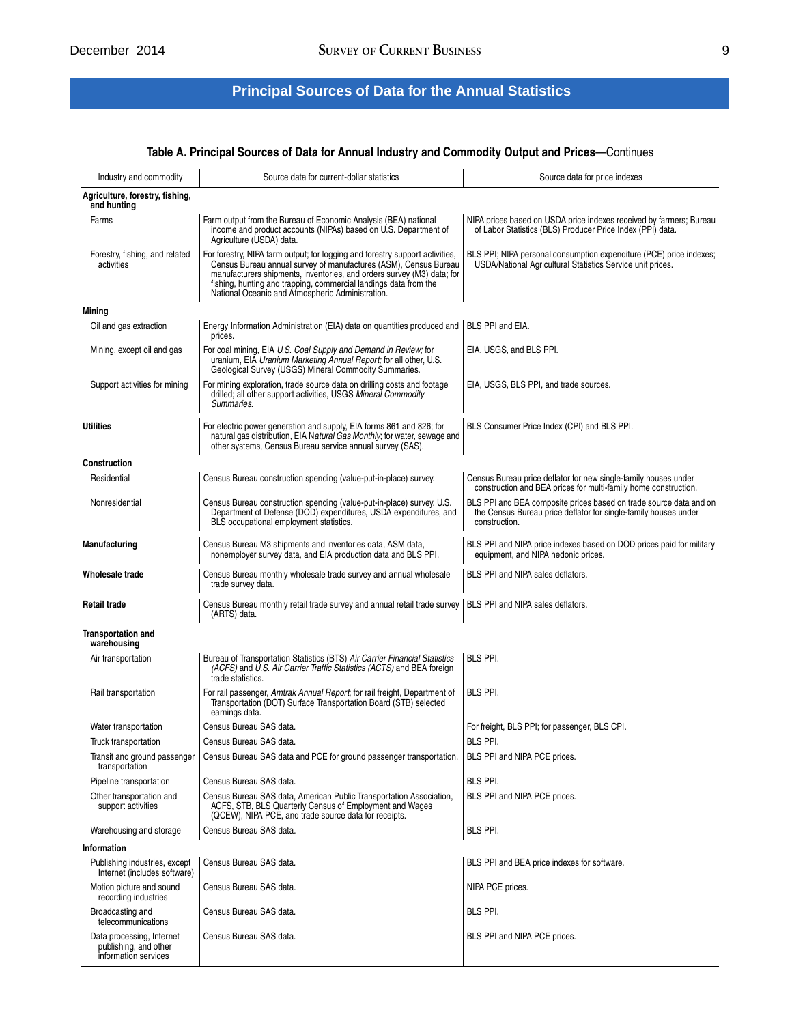# **Principal Sources of Data for the Annual Statistics**

# **Table A. Principal Sources of Data for Annual Industry and Commodity Output and Prices**—Continues

| Industry and commodity                                                     | Source data for current-dollar statistics                                                                                                                                                                                                                                                                                                          | Source data for price indexes                                                                                                                          |
|----------------------------------------------------------------------------|----------------------------------------------------------------------------------------------------------------------------------------------------------------------------------------------------------------------------------------------------------------------------------------------------------------------------------------------------|--------------------------------------------------------------------------------------------------------------------------------------------------------|
| Agriculture, forestry, fishing,<br>and hunting                             |                                                                                                                                                                                                                                                                                                                                                    |                                                                                                                                                        |
| Farms                                                                      | Farm output from the Bureau of Economic Analysis (BEA) national<br>income and product accounts (NIPAs) based on U.S. Department of<br>Agriculture (USDA) data.                                                                                                                                                                                     | NIPA prices based on USDA price indexes received by farmers; Bureau<br>of Labor Statistics (BLS) Producer Price Index (PPI) data.                      |
| Forestry, fishing, and related<br>activities                               | For forestry, NIPA farm output; for logging and forestry support activities,<br>Census Bureau annual survey of manufactures (ASM), Census Bureau<br>manufacturers shipments, inventories, and orders survey (M3) data; for<br>fishing, hunting and trapping, commercial landings data from the<br>National Oceanic and Atmospheric Administration. | BLS PPI; NIPA personal consumption expenditure (PCE) price indexes;<br>USDA/National Agricultural Statistics Service unit prices.                      |
| Mining                                                                     |                                                                                                                                                                                                                                                                                                                                                    |                                                                                                                                                        |
| Oil and gas extraction                                                     | Energy Information Administration (EIA) data on quantities produced and<br>prices.                                                                                                                                                                                                                                                                 | BLS PPI and EIA.                                                                                                                                       |
| Mining, except oil and gas                                                 | For coal mining, EIA U.S. Coal Supply and Demand in Review; for<br>uranium, EIA Uranium Marketing Annual Report; for all other, U.S.<br>Geological Survey (USGS) Mineral Commodity Summaries.                                                                                                                                                      | EIA, USGS, and BLS PPI.                                                                                                                                |
| Support activities for mining                                              | For mining exploration, trade source data on drilling costs and footage<br>drilled; all other support activities, USGS Mineral Commodity<br>Summaries.                                                                                                                                                                                             | EIA, USGS, BLS PPI, and trade sources.                                                                                                                 |
| <b>Utilities</b>                                                           | For electric power generation and supply, EIA forms 861 and 826; for<br>natural gas distribution, EIA Natural Gas Monthly; for water, sewage and<br>other systems, Census Bureau service annual survey (SAS).                                                                                                                                      | BLS Consumer Price Index (CPI) and BLS PPI.                                                                                                            |
| Construction                                                               |                                                                                                                                                                                                                                                                                                                                                    |                                                                                                                                                        |
| Residential                                                                | Census Bureau construction spending (value-put-in-place) survey.                                                                                                                                                                                                                                                                                   | Census Bureau price deflator for new single-family houses under<br>construction and BEA prices for multi-family home construction.                     |
| Nonresidential                                                             | Census Bureau construction spending (value-put-in-place) survey, U.S.<br>Department of Defense (DOD) expenditures, USDA expenditures, and<br>BLS occupational employment statistics.                                                                                                                                                               | BLS PPI and BEA composite prices based on trade source data and on<br>the Census Bureau price deflator for single-family houses under<br>construction. |
| Manufacturing                                                              | Census Bureau M3 shipments and inventories data, ASM data,<br>nonemployer survey data, and EIA production data and BLS PPI.                                                                                                                                                                                                                        | BLS PPI and NIPA price indexes based on DOD prices paid for military<br>equipment, and NIPA hedonic prices.                                            |
| Wholesale trade                                                            | Census Bureau monthly wholesale trade survey and annual wholesale<br>trade survey data.                                                                                                                                                                                                                                                            | BLS PPI and NIPA sales deflators.                                                                                                                      |
| <b>Retail trade</b>                                                        | Census Bureau monthly retail trade survey and annual retail trade survey<br>(ARTS) data.                                                                                                                                                                                                                                                           | BLS PPI and NIPA sales deflators.                                                                                                                      |
| Transportation and<br>warehousing                                          |                                                                                                                                                                                                                                                                                                                                                    |                                                                                                                                                        |
| Air transportation                                                         | Bureau of Transportation Statistics (BTS) Air Carrier Financial Statistics<br>(ACFS) and U.S. Air Carrier Traffic Statistics (ACTS) and BEA foreign<br>trade statistics.                                                                                                                                                                           | BLS PPI.                                                                                                                                               |
| Rail transportation                                                        | For rail passenger, Amtrak Annual Report; for rail freight, Department of<br>Transportation (DOT) Surface Transportation Board (STB) selected<br>earnings data.                                                                                                                                                                                    | BLS PPI.                                                                                                                                               |
| Water transportation                                                       | Census Bureau SAS data.                                                                                                                                                                                                                                                                                                                            | For freight, BLS PPI; for passenger, BLS CPI.                                                                                                          |
| Truck transportation                                                       | Census Bureau SAS data.                                                                                                                                                                                                                                                                                                                            | BLS PPI.                                                                                                                                               |
| Transit and ground passenger<br>transportation                             | Census Bureau SAS data and PCE for ground passenger transportation.                                                                                                                                                                                                                                                                                | BLS PPI and NIPA PCE prices.                                                                                                                           |
| Pipeline transportation                                                    | Census Bureau SAS data.                                                                                                                                                                                                                                                                                                                            | BLS PPI.                                                                                                                                               |
| Other transportation and<br>support activities                             | Census Bureau SAS data, American Public Transportation Association,<br>ACFS, STB, BLS Quarterly Census of Employment and Wages<br>(QCEW), NIPA PCE, and trade source data for receipts.                                                                                                                                                            | BLS PPI and NIPA PCE prices.                                                                                                                           |
| Warehousing and storage                                                    | Census Bureau SAS data.                                                                                                                                                                                                                                                                                                                            | BLS PPI.                                                                                                                                               |
| Information                                                                |                                                                                                                                                                                                                                                                                                                                                    |                                                                                                                                                        |
| Publishing industries, except<br>Internet (includes software)              | Census Bureau SAS data.                                                                                                                                                                                                                                                                                                                            | BLS PPI and BEA price indexes for software.                                                                                                            |
| Motion picture and sound<br>recording industries                           | Census Bureau SAS data.                                                                                                                                                                                                                                                                                                                            | NIPA PCE prices.                                                                                                                                       |
| Broadcasting and<br>telecommunications                                     | Census Bureau SAS data.                                                                                                                                                                                                                                                                                                                            | BLS PPI.                                                                                                                                               |
| Data processing, Internet<br>publishing, and other<br>information services | Census Bureau SAS data.                                                                                                                                                                                                                                                                                                                            | BLS PPI and NIPA PCE prices.                                                                                                                           |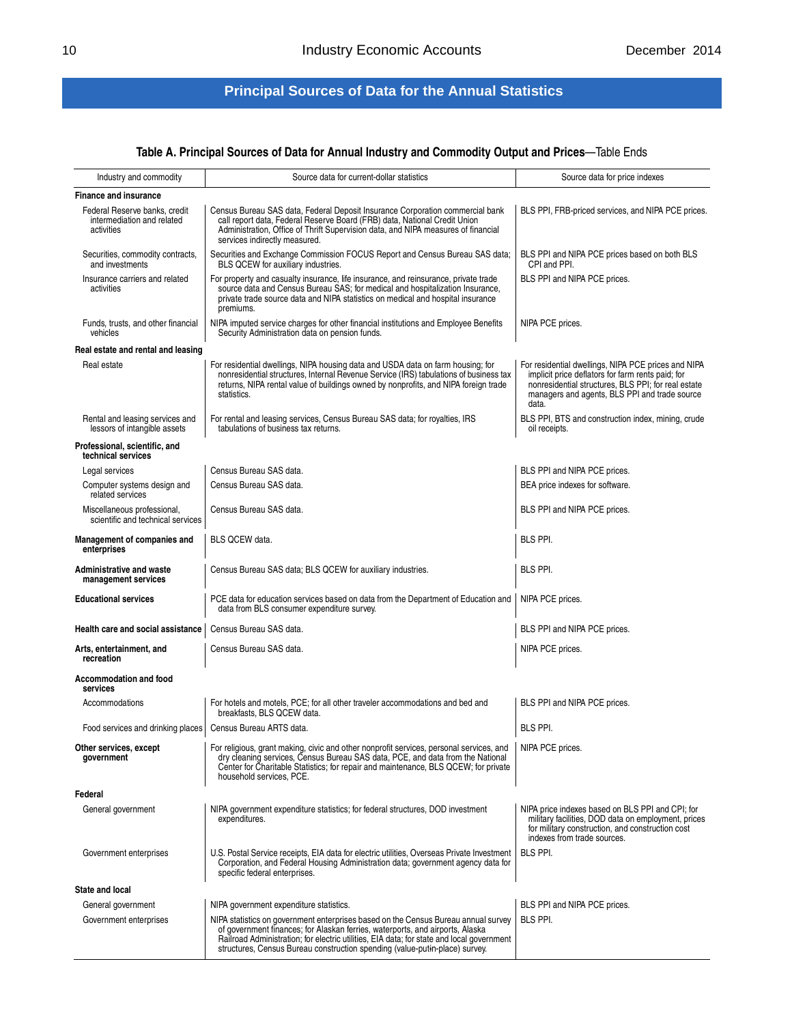# **Principal Sources of Data for the Annual Statistics**

# **Table A. Principal Sources of Data for Annual Industry and Commodity Output and Prices**—Table Ends

| Industry and commodity                                                    | Source data for current-dollar statistics                                                                                                                                                                                                                                                                                                       | Source data for price indexes                                                                                                                                                                                             |
|---------------------------------------------------------------------------|-------------------------------------------------------------------------------------------------------------------------------------------------------------------------------------------------------------------------------------------------------------------------------------------------------------------------------------------------|---------------------------------------------------------------------------------------------------------------------------------------------------------------------------------------------------------------------------|
| <b>Finance and insurance</b>                                              |                                                                                                                                                                                                                                                                                                                                                 |                                                                                                                                                                                                                           |
| Federal Reserve banks, credit<br>intermediation and related<br>activities | Census Bureau SAS data, Federal Deposit Insurance Corporation commercial bank<br>call report data, Federal Reserve Board (FRB) data, National Credit Union<br>Administration, Office of Thrift Supervision data, and NIPA measures of financial<br>services indirectly measured.                                                                | BLS PPI, FRB-priced services, and NIPA PCE prices.                                                                                                                                                                        |
| Securities, commodity contracts,<br>and investments                       | Securities and Exchange Commission FOCUS Report and Census Bureau SAS data;<br>BLS QCEW for auxiliary industries.                                                                                                                                                                                                                               | BLS PPI and NIPA PCE prices based on both BLS<br>CPI and PPI.                                                                                                                                                             |
| Insurance carriers and related<br>activities                              | For property and casualty insurance, life insurance, and reinsurance, private trade<br>source data and Census Bureau SAS; for medical and hospitalization Insurance,<br>private trade source data and NIPA statistics on medical and hospital insurance<br>premiums.                                                                            | BLS PPI and NIPA PCE prices.                                                                                                                                                                                              |
| Funds, trusts, and other financial<br>vehicles                            | NIPA imputed service charges for other financial institutions and Employee Benefits<br>Security Administration data on pension funds.                                                                                                                                                                                                           | NIPA PCE prices.                                                                                                                                                                                                          |
| Real estate and rental and leasing                                        |                                                                                                                                                                                                                                                                                                                                                 |                                                                                                                                                                                                                           |
| Real estate                                                               | For residential dwellings, NIPA housing data and USDA data on farm housing; for<br>nonresidential structures, Internal Revenue Service (IRS) tabulations of business tax<br>returns, NIPA rental value of buildings owned by nonprofits, and NIPA foreign trade<br>statistics.                                                                  | For residential dwellings, NIPA PCE prices and NIPA<br>implicit price deflators for farm rents paid; for<br>nonresidential structures, BLS PPI; for real estate<br>managers and agents, BLS PPI and trade source<br>data. |
| Rental and leasing services and<br>lessors of intangible assets           | For rental and leasing services, Census Bureau SAS data; for royalties, IRS<br>tabulations of business tax returns.                                                                                                                                                                                                                             | BLS PPI, BTS and construction index, mining, crude<br>oil receipts.                                                                                                                                                       |
| Professional, scientific, and<br>technical services                       |                                                                                                                                                                                                                                                                                                                                                 |                                                                                                                                                                                                                           |
| Legal services                                                            | Census Bureau SAS data.                                                                                                                                                                                                                                                                                                                         | BLS PPI and NIPA PCE prices.                                                                                                                                                                                              |
| Computer systems design and<br>related services                           | Census Bureau SAS data.                                                                                                                                                                                                                                                                                                                         | BEA price indexes for software.                                                                                                                                                                                           |
| Miscellaneous professional,<br>scientific and technical services          | Census Bureau SAS data.                                                                                                                                                                                                                                                                                                                         | BLS PPI and NIPA PCE prices.                                                                                                                                                                                              |
| Management of companies and<br>enterprises                                | BLS QCEW data.                                                                                                                                                                                                                                                                                                                                  | BLS PPI.                                                                                                                                                                                                                  |
| Administrative and waste<br>management services                           | Census Bureau SAS data; BLS QCEW for auxiliary industries.                                                                                                                                                                                                                                                                                      | BLS PPI.                                                                                                                                                                                                                  |
| <b>Educational services</b>                                               | PCE data for education services based on data from the Department of Education and<br>data from BLS consumer expenditure survey.                                                                                                                                                                                                                | NIPA PCE prices.                                                                                                                                                                                                          |
| Health care and social assistance                                         | Census Bureau SAS data.                                                                                                                                                                                                                                                                                                                         | BLS PPI and NIPA PCE prices.                                                                                                                                                                                              |
| Arts, entertainment, and<br>recreation                                    | Census Bureau SAS data.                                                                                                                                                                                                                                                                                                                         | NIPA PCE prices.                                                                                                                                                                                                          |
| <b>Accommodation and food</b><br>services                                 |                                                                                                                                                                                                                                                                                                                                                 |                                                                                                                                                                                                                           |
| Accommodations                                                            | For hotels and motels, PCE; for all other traveler accommodations and bed and<br>breakfasts, BLS QCEW data.                                                                                                                                                                                                                                     | BLS PPI and NIPA PCE prices.                                                                                                                                                                                              |
| Food services and drinking places                                         | Census Bureau ARTS data.                                                                                                                                                                                                                                                                                                                        | BLS PPI.                                                                                                                                                                                                                  |
| Other services, except<br>aovernment                                      | For religious, grant making, civic and other nonprofit services, personal services, and   NIPA PCE prices.<br>dry cleaning services, Census Bureau SAS data, PCE, and data from the National<br>Center for Charitable Statistics; for repair and maintenance, BLS QCEW; for private<br>household services. PCE.                                 |                                                                                                                                                                                                                           |
| Federal                                                                   |                                                                                                                                                                                                                                                                                                                                                 |                                                                                                                                                                                                                           |
| General government                                                        | NIPA government expenditure statistics; for federal structures, DOD investment<br>expenditures.                                                                                                                                                                                                                                                 | NIPA price indexes based on BLS PPI and CPI; for<br>military facilities, DOD data on employment, prices<br>for military construction, and construction cost<br>indexes from trade sources.                                |
| Government enterprises                                                    | U.S. Postal Service receipts, EIA data for electric utilities, Overseas Private Investment<br>Corporation, and Federal Housing Administration data; government agency data for<br>specific federal enterprises.                                                                                                                                 | BLS PPI.                                                                                                                                                                                                                  |
| <b>State and local</b>                                                    |                                                                                                                                                                                                                                                                                                                                                 |                                                                                                                                                                                                                           |
| General government                                                        | NIPA government expenditure statistics.                                                                                                                                                                                                                                                                                                         | BLS PPI and NIPA PCE prices.                                                                                                                                                                                              |
| Government enterprises                                                    | NIPA statistics on government enterprises based on the Census Bureau annual survey<br>of government finances; for Alaskan ferries, waterports, and airports, Alaska<br>Railroad Administration; for electric utilities, EIA data; for state and local government<br>structures, Census Bureau construction spending (value-putin-place) survey. | BLS PPI.                                                                                                                                                                                                                  |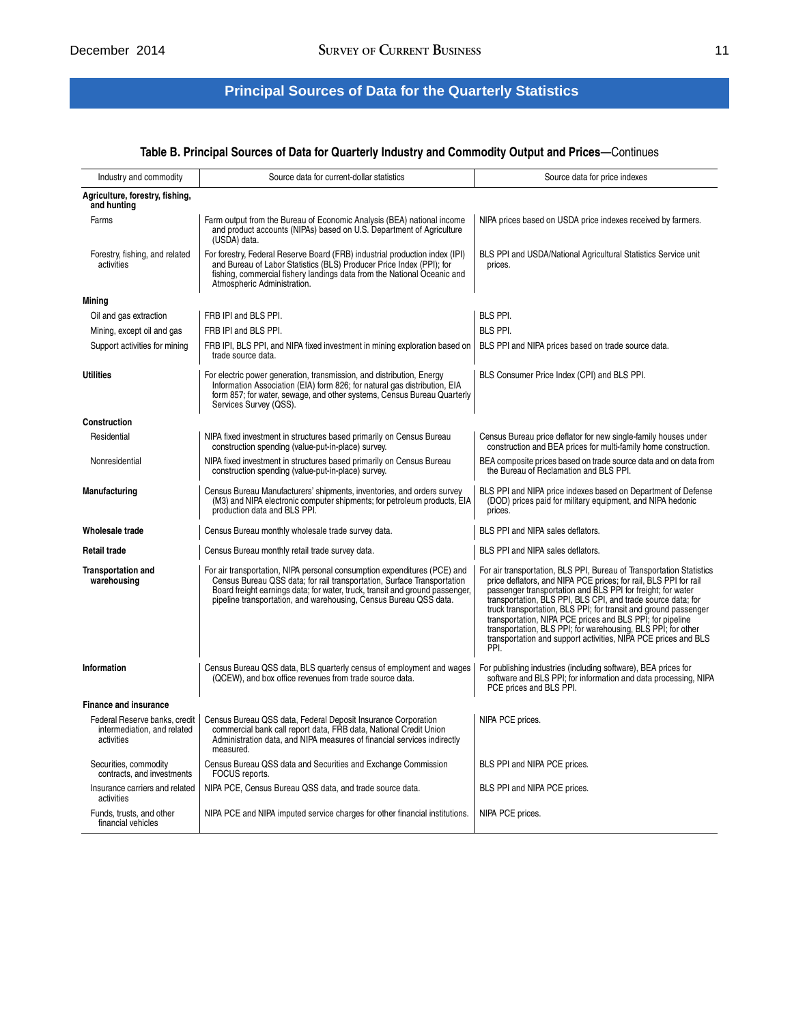#### **Principal Sources of Data for the Quarterly Statistics**

# **Table B. Principal Sources of Data for Quarterly Industry and Commodity Output and Prices**—Continues

| Industry and commodity                                                     | Source data for current-dollar statistics                                                                                                                                                                                                                                                                | Source data for price indexes                                                                                                                                                                                                                                                                                                                                                                                                                                                                                                                     |  |  |  |
|----------------------------------------------------------------------------|----------------------------------------------------------------------------------------------------------------------------------------------------------------------------------------------------------------------------------------------------------------------------------------------------------|---------------------------------------------------------------------------------------------------------------------------------------------------------------------------------------------------------------------------------------------------------------------------------------------------------------------------------------------------------------------------------------------------------------------------------------------------------------------------------------------------------------------------------------------------|--|--|--|
| Agriculture, forestry, fishing,<br>and hunting                             |                                                                                                                                                                                                                                                                                                          |                                                                                                                                                                                                                                                                                                                                                                                                                                                                                                                                                   |  |  |  |
| Farms                                                                      | Farm output from the Bureau of Economic Analysis (BEA) national income<br>and product accounts (NIPAs) based on U.S. Department of Agriculture<br>(USDA) data.                                                                                                                                           | NIPA prices based on USDA price indexes received by farmers.                                                                                                                                                                                                                                                                                                                                                                                                                                                                                      |  |  |  |
| Forestry, fishing, and related<br>activities                               | For forestry, Federal Reserve Board (FRB) industrial production index (IPI)<br>and Bureau of Labor Statistics (BLS) Producer Price Index (PPI); for<br>fishing, commercial fishery landings data from the National Oceanic and<br>Atmospheric Administration.                                            | BLS PPI and USDA/National Agricultural Statistics Service unit<br>prices.                                                                                                                                                                                                                                                                                                                                                                                                                                                                         |  |  |  |
| <b>Mining</b>                                                              |                                                                                                                                                                                                                                                                                                          |                                                                                                                                                                                                                                                                                                                                                                                                                                                                                                                                                   |  |  |  |
| Oil and gas extraction                                                     | FRB IPI and BLS PPI.                                                                                                                                                                                                                                                                                     | BLS PPI.                                                                                                                                                                                                                                                                                                                                                                                                                                                                                                                                          |  |  |  |
| Mining, except oil and gas                                                 | FRB IPI and BLS PPI.                                                                                                                                                                                                                                                                                     | <b>BLS PPI.</b>                                                                                                                                                                                                                                                                                                                                                                                                                                                                                                                                   |  |  |  |
| Support activities for mining                                              | FRB IPI, BLS PPI, and NIPA fixed investment in mining exploration based on<br>trade source data.                                                                                                                                                                                                         | BLS PPI and NIPA prices based on trade source data.                                                                                                                                                                                                                                                                                                                                                                                                                                                                                               |  |  |  |
| <b>Utilities</b>                                                           | For electric power generation, transmission, and distribution, Energy<br>Information Association (EIA) form 826; for natural gas distribution, EIA<br>form 857; for water, sewage, and other systems, Census Bureau Quarterly<br>Services Survey (QSS).                                                  | BLS Consumer Price Index (CPI) and BLS PPI.                                                                                                                                                                                                                                                                                                                                                                                                                                                                                                       |  |  |  |
| Construction                                                               |                                                                                                                                                                                                                                                                                                          |                                                                                                                                                                                                                                                                                                                                                                                                                                                                                                                                                   |  |  |  |
| Residential                                                                | NIPA fixed investment in structures based primarily on Census Bureau<br>construction spending (value-put-in-place) survey.                                                                                                                                                                               | Census Bureau price deflator for new single-family houses under<br>construction and BEA prices for multi-family home construction.                                                                                                                                                                                                                                                                                                                                                                                                                |  |  |  |
| Nonresidential                                                             | NIPA fixed investment in structures based primarily on Census Bureau<br>construction spending (value-put-in-place) survey.                                                                                                                                                                               | BEA composite prices based on trade source data and on data from<br>the Bureau of Reclamation and BLS PPI.                                                                                                                                                                                                                                                                                                                                                                                                                                        |  |  |  |
| Manufacturing                                                              | Census Bureau Manufacturers' shipments, inventories, and orders survey<br>(M3) and NIPA electronic computer shipments; for petroleum products, EIA<br>production data and BLS PPI.                                                                                                                       | BLS PPI and NIPA price indexes based on Department of Defense<br>(DOD) prices paid for military equipment, and NIPA hedonic<br>prices.                                                                                                                                                                                                                                                                                                                                                                                                            |  |  |  |
| Wholesale trade                                                            | Census Bureau monthly wholesale trade survey data.                                                                                                                                                                                                                                                       | BLS PPI and NIPA sales deflators.                                                                                                                                                                                                                                                                                                                                                                                                                                                                                                                 |  |  |  |
| <b>Retail trade</b>                                                        | Census Bureau monthly retail trade survey data.                                                                                                                                                                                                                                                          | BLS PPI and NIPA sales deflators.                                                                                                                                                                                                                                                                                                                                                                                                                                                                                                                 |  |  |  |
| <b>Transportation and</b><br>warehousing                                   | For air transportation, NIPA personal consumption expenditures (PCE) and<br>Census Bureau QSS data; for rail transportation, Surface Transportation<br>Board freight earnings data; for water, truck, transit and ground passenger,<br>pipeline transportation, and warehousing, Census Bureau QSS data. | For air transportation, BLS PPI, Bureau of Transportation Statistics<br>price deflators, and NIPA PCE prices; for rail, BLS PPI for rail<br>passenger transportation and BLS PPI for freight; for water<br>transportation, BLS PPI, BLS CPI, and trade source data; for<br>truck transportation, BLS PPI; for transit and ground passenger<br>transportation, NIPA PCE prices and BLS PPI, for pipeline<br>transportation, BLS PPI; for warehousing, BLS PPI; for other<br>transportation and support activities, NIPA PCE prices and BLS<br>PPI. |  |  |  |
| Information                                                                | Census Bureau QSS data, BLS quarterly census of employment and wages<br>(QCEW), and box office revenues from trade source data.                                                                                                                                                                          | For publishing industries (including software), BEA prices for<br>software and BLS PPI; for information and data processing, NIPA<br>PCE prices and BLS PPI.                                                                                                                                                                                                                                                                                                                                                                                      |  |  |  |
| <b>Finance and insurance</b>                                               |                                                                                                                                                                                                                                                                                                          |                                                                                                                                                                                                                                                                                                                                                                                                                                                                                                                                                   |  |  |  |
| Federal Reserve banks, credit<br>intermediation, and related<br>activities | Census Bureau QSS data, Federal Deposit Insurance Corporation<br>commercial bank call report data, FRB data, National Credit Union<br>Administration data, and NIPA measures of financial services indirectly<br>measured.                                                                               | NIPA PCE prices.                                                                                                                                                                                                                                                                                                                                                                                                                                                                                                                                  |  |  |  |
| Securities, commodity<br>contracts, and investments                        | Census Bureau QSS data and Securities and Exchange Commission<br>FOCUS reports.                                                                                                                                                                                                                          | BLS PPI and NIPA PCE prices.                                                                                                                                                                                                                                                                                                                                                                                                                                                                                                                      |  |  |  |
| Insurance carriers and related<br>activities                               | NIPA PCE, Census Bureau QSS data, and trade source data.                                                                                                                                                                                                                                                 | BLS PPI and NIPA PCE prices.                                                                                                                                                                                                                                                                                                                                                                                                                                                                                                                      |  |  |  |
| Funds, trusts, and other<br>financial vehicles                             | NIPA PCE and NIPA imputed service charges for other financial institutions.                                                                                                                                                                                                                              | NIPA PCE prices.                                                                                                                                                                                                                                                                                                                                                                                                                                                                                                                                  |  |  |  |